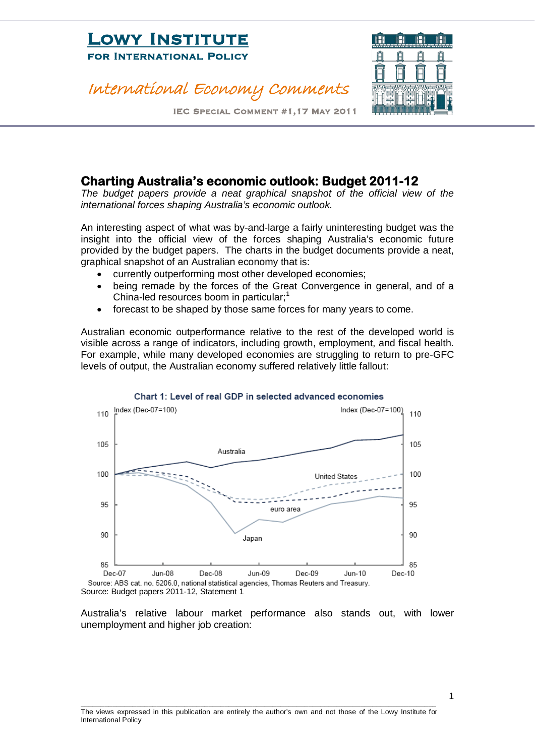## International Economy Comments



IEC Special Comment #1,17 May 2011

### **Charting Australia's economic outlook: Budget 2011-12**

The budget papers provide a neat graphical snapshot of the official view of the *international forces shaping Australia's economic outlook.*

An interesting aspect of what was by-and-large a fairly uninteresting budget was the insight into the official view of the forces shaping Australia's economic future provided by the budget papers. The charts in the budget documents provide a neat, graphical snapshot of an Australian economy that is:

- currently outperforming most other developed economies;
- being remade by the forces of the Great Convergence in general, and of a China-led resources boom in particular;<sup>[1](#page-9-0)</sup>
- forecast to be shaped by those same forces for many years to come.

Australian economic outperformance relative to the rest of the developed world is visible across a range of indicators, including growth, employment, and fiscal health. For example, while many developed economies are struggling to return to pre-GFC levels of output, the Australian economy suffered relatively little fallout:



#### Chart 1: Level of real GDP in selected advanced economies

Source: Budget papers 2011-12, Statement 1

Australia's relative labour market performance also stands out, with lower unemployment and higher job creation:

1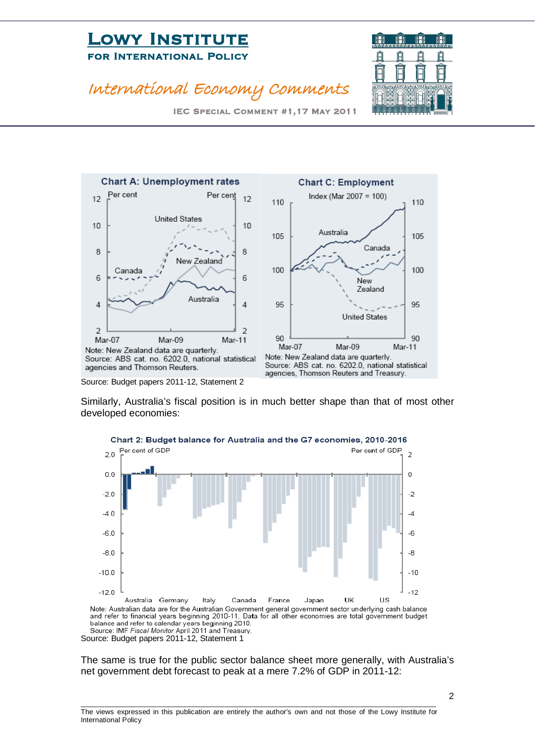### International Economy Comments



IEC Special Comment #1,17 May 2011



Note: New Zealand data are quarterly. Source: ABS cat. no. 6202.0, national statistical agencies and Thomson Reuters.

Source: Budget papers 2011-12, Statement 2



Source: ABS cat. no. 6202.0, national statistical agencies, Thomson Reuters and Treasury.

Similarly, Australia's fiscal position is in much better shape than that of most other developed economies:



Source: Budget papers 2011-12, Statement 1

The same is true for the public sector balance sheet more generally, with Australia's net government debt forecast to peak at a mere 7.2% of GDP in 2011-12:

2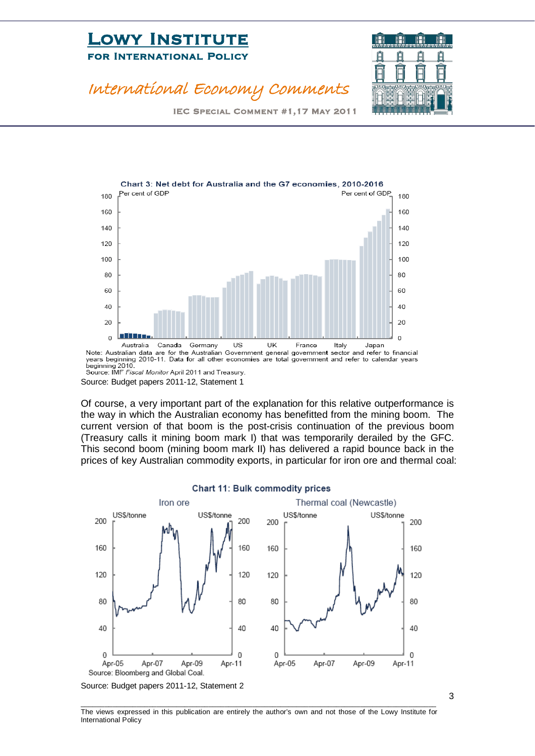

### International Economy Comments

IEC Special Comment #1,17 May 2011



beginning 2010.<br>Source: IMF *Fiscal Monitor* April 2011 and Treasury.

Source: Budget papers 2011-12, Statement 1

Of course, a very important part of the explanation for this relative outperformance is the way in which the Australian economy has benefitted from the mining boom. The current version of that boom is the post-crisis continuation of the previous boom (Treasury calls it mining boom mark I) that was temporarily derailed by the GFC. This second boom (mining boom mark II) has delivered a rapid bounce back in the prices of key Australian commodity exports, in particular for iron ore and thermal coal:



Source: Budget papers 2011-12, Statement 2

\_\_\_\_\_\_\_\_\_\_\_\_\_\_\_\_\_\_\_\_\_\_\_\_\_\_\_\_\_\_\_\_\_\_\_\_\_\_\_\_\_\_\_\_\_\_\_\_\_\_\_\_\_\_\_\_\_\_\_\_\_\_\_\_\_\_\_\_\_\_\_\_\_\_\_\_\_\_\_\_\_\_\_\_\_\_\_\_\_ The views expressed in this publication are entirely the author's own and not those of the Lowy Institute for International Policy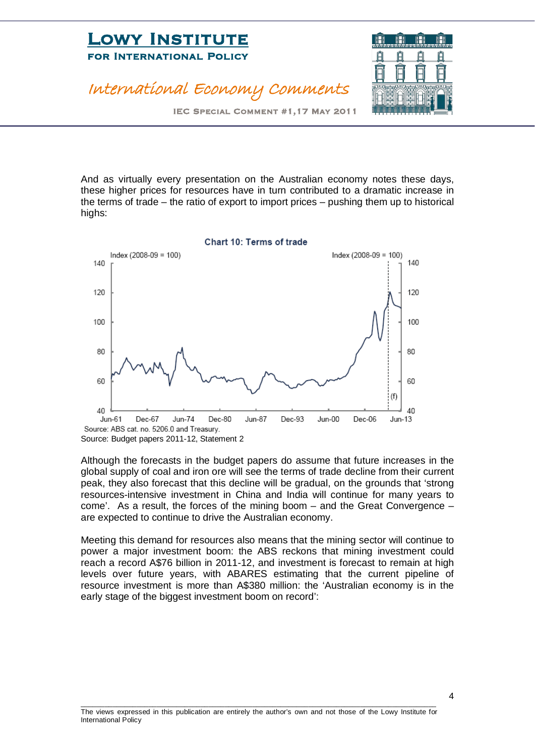

IEC Special Comment #1,17 May 2011

And as virtually every presentation on the Australian economy notes these days, these higher prices for resources have in turn contributed to a dramatic increase in the terms of trade – the ratio of export to import prices – pushing them up to historical highs:



Source: Budget papers 2011-12, Statement 2

Although the forecasts in the budget papers do assume that future increases in the global supply of coal and iron ore will see the terms of trade decline from their current peak, they also forecast that this decline will be gradual, on the grounds that 'strong resources-intensive investment in China and India will continue for many years to come'. As a result, the forces of the mining boom – and the Great Convergence – are expected to continue to drive the Australian economy.

Meeting this demand for resources also means that the mining sector will continue to power a major investment boom: the ABS reckons that mining investment could reach a record A\$76 billion in 2011-12, and investment is forecast to remain at high levels over future years, with ABARES estimating that the current pipeline of resource investment is more than A\$380 million: the 'Australian economy is in the early stage of the biggest investment boom on record':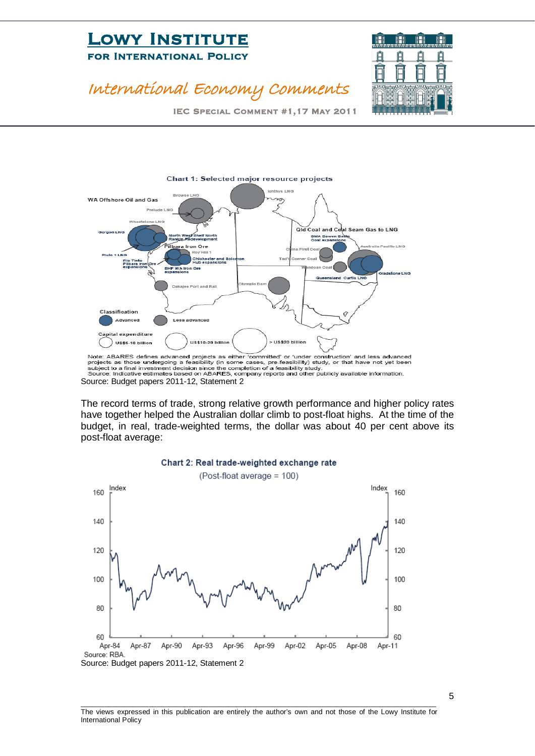

## International Economy Comments

IEC Special Comment #1,17 May 2011



The record terms of trade, strong relative growth performance and higher policy rates have together helped the Australian dollar climb to post-float highs. At the time of the budget, in real, trade-weighted terms, the dollar was about 40 per cent above its post-float average:



#### Chart 2: Real trade-weighted exchange rate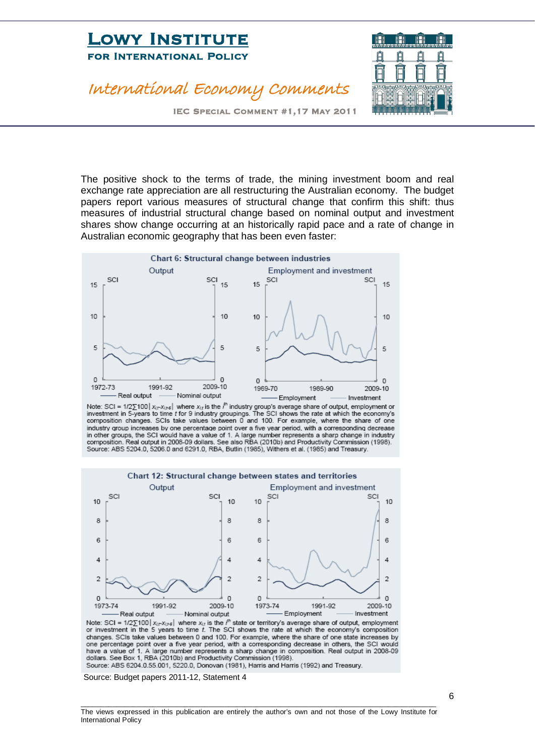### International Economy Comments



IEC Special Comment #1,17 May 2011

The positive shock to the terms of trade, the mining investment boom and real exchange rate appreciation are all restructuring the Australian economy. The budget papers report various measures of structural change that confirm this shift: thus measures of industrial structural change based on nominal output and investment shares show change occurring at an historically rapid pace and a rate of change in Australian economic geography that has been even faster:



Note: SCI =  $1/2\sum 100 |x_{(t-1)/s}|$  where  $x_{(t)}$  is the  $i^{th}$  industry group's average share of output, employment or investment in 5-years to time t for 9 industry groupings. The SCI shows the rate at which the economy's composition changes. SCIs take values between 0 and 100. For example, where the share of one industry group increases by one percentage point over a five year period, with a corresponding decrease in other groups, the SCI would have a value of 1. A large number represents a sharp change in industry<br>composition. Real output in 2008-09 dollars. See also RBA (2010b) and Productivity Commission (1998). Source: ABS 5204.0, 5206.0 and 6291.0, RBA, Butlin (1985), Withers et al. (1985) and Treasury.



Note: SCI =  $1/2\sum 100 |x_{it}-x_{it-5}|$  where  $x_{it}$  is the  $t^n$  state or territory's average share of output, employment or investment in the 5 years to time  $t$ . The SCI shows the rate at which the economy's composition changes. SCIs take values between 0 and 100. For example, where the share of one state increases by one percentage point over a five year period, with a corresponding decrease in others, the SCI would<br>have a value of 1. A large number represents a sharp change in composition. Real output in 2008-09 dollars. See Box 1, RBA (2010b) and Productivity Commission (1998). Source: ABS 6204.0.55.001, 5220.0, Donovan (1981), Harris and Harris (1992) and Treasury.

Source: Budget papers 2011-12, Statement 4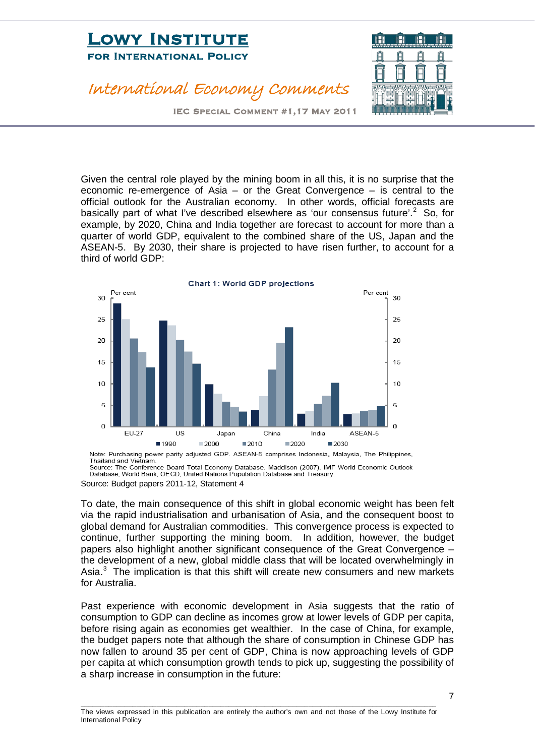### International Economy Comments



IEC Special Comment #1,17 May 2011

Given the central role played by the mining boom in all this, it is no surprise that the economic re-emergence of Asia – or the Great Convergence – is central to the official outlook for the Australian economy. In other words, official forecasts are basically part of what I've described elsewhere as 'our consensus future'.<sup>[2](#page-9-1)</sup> So, for example, by 2020, China and India together are forecast to account for more than a quarter of world GDP, equivalent to the combined share of the US, Japan and the ASEAN-5. By 2030, their share is projected to have risen further, to account for a third of world GDP:



Thailand and Vietnam. Source: The Conference Board Total Economy Database, Maddison (2007), IMF World Economic Outlook Database, World Bank, OECD, United Nations Population Database and Treasury.

To date, the main consequence of this shift in global economic weight has been felt via the rapid industrialisation and urbanisation of Asia, and the consequent boost to global demand for Australian commodities. This convergence process is expected to continue, further supporting the mining boom. In addition, however, the budget papers also highlight another significant consequence of the Great Convergence – the development of a new, global middle class that will be located overwhelmingly in Asia. $3$  The implication is that this shift will create new consumers and new markets for Australia.

Past experience with economic development in Asia suggests that the ratio of consumption to GDP can decline as incomes grow at lower levels of GDP per capita, before rising again as economies get wealthier. In the case of China, for example, the budget papers note that although the share of consumption in Chinese GDP has now fallen to around 35 per cent of GDP, China is now approaching levels of GDP per capita at which consumption growth tends to pick up, suggesting the possibility of a sharp increase in consumption in the future:

Source: Budget papers 2011-12, Statement 4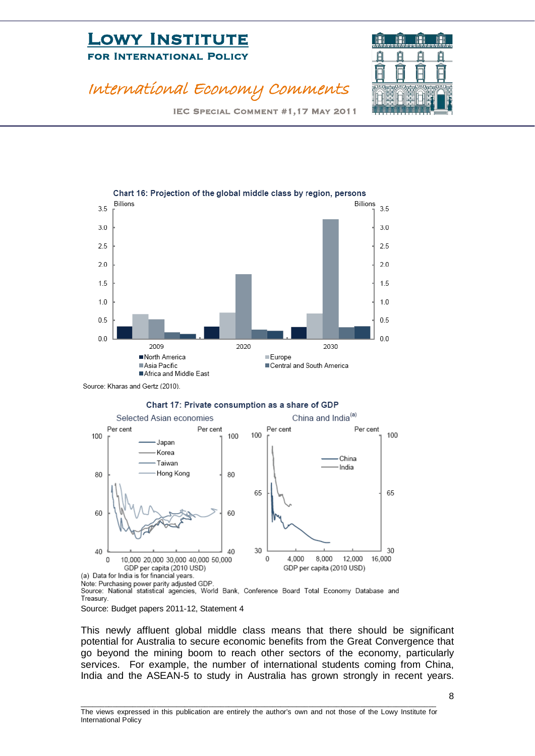

### International Economy Comments

IEC Special Comment #1,17 May 2011



Source: Kharas and Gertz (2010).





Treasurv.

This newly affluent global middle class means that there should be significant potential for Australia to secure economic benefits from the Great Convergence that go beyond the mining boom to reach other sectors of the economy, particularly services. For example, the number of international students coming from China, India and the ASEAN-5 to study in Australia has grown strongly in recent years.

Source: Budget papers 2011-12, Statement 4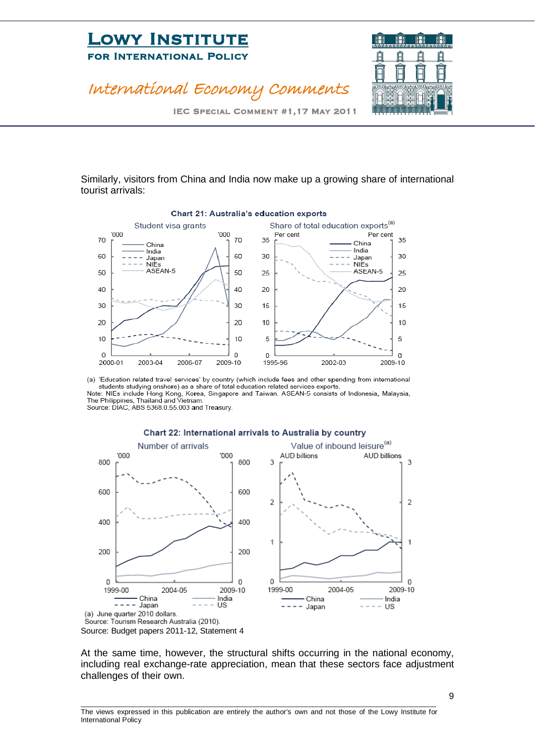### International Economy Comments



IEC Special Comment #1,17 May 2011

Similarly, visitors from China and India now make up a growing share of international tourist arrivals:



(a) 'Education related travel services' by country (which include fees and other spending from international students studying onshore) as a share of total education related services exports. Note: NIEs include Hong Kong, Korea, Singapore and Taiwan. ASEAN-5 consists of Indonesia, Malaysia, The Philippines, Thailand and Vietnam.





At the same time, however, the structural shifts occurring in the national economy, including real exchange-rate appreciation, mean that these sectors face adjustment challenges of their own.

\_\_\_\_\_\_\_\_\_\_\_\_\_\_\_\_\_\_\_\_\_\_\_\_\_\_\_\_\_\_\_\_\_\_\_\_\_\_\_\_\_\_\_\_\_\_\_\_\_\_\_\_\_\_\_\_\_\_\_\_\_\_\_\_\_\_\_\_\_\_\_\_\_\_\_\_\_\_\_\_\_\_\_\_\_\_\_\_\_ The views expressed in this publication are entirely the author's own and not those of the Lowy Institute for International Policy